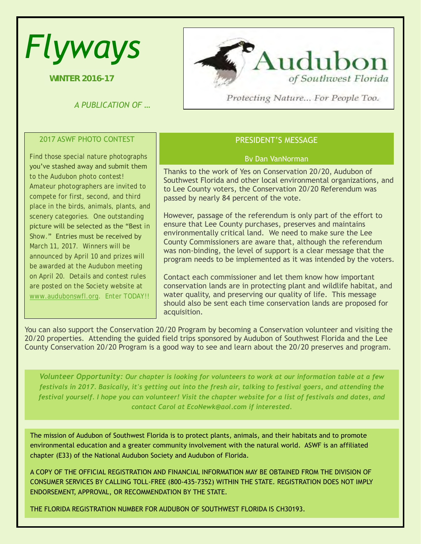# *Flyways*

**WINTER 2016-17**

*A PUBLICATION OF ...* CONTEST



Protecting Nature... For People Too.

### 2017 ASWF PHOTO CONTEST

Find those special nature photographs you've stashed away and submit them to the Audubon photo contest! Amateur photographers are invited to compete for first, second, and third place in the birds, animals, plants, and scenery categories. One outstanding picture will be selected as the "Best in Show." Entries must be received by March 11, 2017. Winners will be announced by April 10 and prizes will be awarded at the Audubon meeting on April 20. Details and contest rules are posted on the Society website at [www.audubonswfl.org.](http://www.audubonswfl.org/) Enter TODAY!!

# PRESIDENT'S MESSAGE

#### By Dan VanNorman

Thanks to the work of Yes on Conservation 20/20, Audubon of Southwest Florida and other local environmental organizations, and to Lee County voters, the Conservation 20/20 Referendum was passed by nearly 84 percent of the vote.

However, passage of the referendum is only part of the effort to ensure that Lee County purchases, preserves and maintains environmentally critical land. We need to make sure the Lee County Commissioners are aware that, although the referendum was non-binding, the level of support is a clear message that the program needs to be implemented as it was intended by the voters.

Contact each commissioner and let them know how important conservation lands are in protecting plant and wildlife habitat, and water quality, and preserving our quality of life. This message should also be sent each time conservation lands are proposed for acquisition.

You can also support the Conservation 20/20 Program by becoming a Conservation volunteer and visiting the 20/20 properties. Attending the guided field trips sponsored by Audubon of Southwest Florida and the Lee County Conservation 20/20 Program is a good way to see and learn about the 20/20 preserves and program.

*Volunteer Opportunity: Our chapter is looking for volunteers to work at our information table at a few festivals in 2017. Basically, it's getting out into the fresh air, talking to festival goers, and attending the festival yourself. I hope you can volunteer! Visit the chapter website for a list of festivals and dates, and contact Carol at EcoNewk@aol.com if interested.* 

The mission of Audubon of Southwest Florida is to protect plants, animals, and their habitats and to promote environmental education and a greater community involvement with the natural world. ASWF is an affiliated chapter (E33) of the National Audubon Society and Audubon of Florida.

A COPY OF THE OFFICIAL REGISTRATION AND FINANCIAL INFORMATION MAY BE OBTAINED FROM THE DIVISION OF CONSUMER SERVICES BY CALLING TOLL-FREE (800-435-7352) WITHIN THE STATE. REGISTRATION DOES NOT IMPLY ENDORSEMENT, APPROVAL, OR RECOMMENDATION BY THE STATE.

THE FLORIDA REGISTRATION NUMBER FOR AUDUBON OF SOUTHWEST FLORIDA IS CH30193.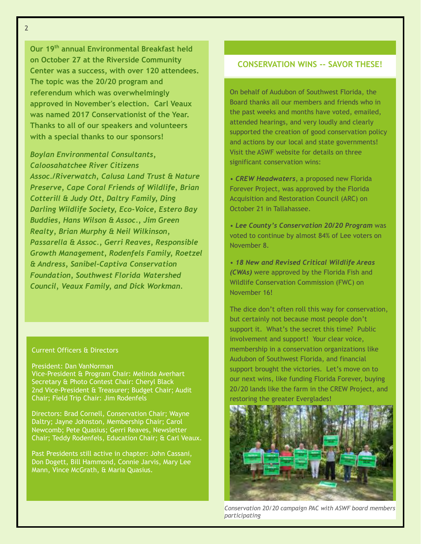2

**Our 19th annual Environmental Breakfast held on October 27 at the Riverside Community Center was a success, with over 120 attendees. The topic was the 20/20 program and referendum which was overwhelmingly approved in November's election. Carl Veaux was named 2017 Conservationist of the Year. Thanks to all of our speakers and volunteers with a special thanks to our sponsors!**

# *Boylan Environmental Consultants, Caloosahatchee River Citizens*

*Assoc./Riverwatch, Calusa Land Trust & Nature Preserve, Cape Coral Friends of Wildlife, Brian Cotterill & Judy Ott, Daltry Family, Ding Darling Wildlife Society, Eco-Voice, Estero Bay Buddies, Hans Wilson & Assoc., Jim Green Realty, Brian Murphy & Neil Wilkinson, Passarella & Assoc., Gerri Reaves, Responsible Growth Management, Rodenfels Family, Roetzel & Andress, Sanibel-Captiva Conservation Foundation, Southwest Florida Watershed Council, Veaux Family, and Dick Workman.* 

#### Current Officers & Directors

President: Dan VanNorman Vice-President & Program Chair: Melinda Averhart Secretary & Photo Contest Chair: Cheryl Black 2nd Vice-President & Treasurer; Budget Chair; Audit Chair; Field Trip Chair: Jim Rodenfels

Directors: Brad Cornell, Conservation Chair; Wayne Daltry; Jayne Johnston, Membership Chair; Carol Newcomb; Pete Quasius; Gerri Reaves, Newsletter Chair; Teddy Rodenfels, Education Chair; & Carl Veaux.

Past Presidents still active in chapter: John Cassani, Don Dogett, Bill Hammond, Connie Jarvis, Mary Lee Mann, Vince McGrath, & Maria Quasius.

# **CONSERVATION WINS -- SAVOR THESE!**

On behalf of Audubon of Southwest Florida, the Board thanks all our members and friends who in the past weeks and months have voted, emailed, attended hearings, and very loudly and clearly supported the creation of good conservation policy and actions by our local and state governments! Visit the ASWF website for details on three significant conservation wins:

*• CREW Headwaters*, a proposed new Florida Forever Project, was approved by the Florida Acquisition and Restoration Council (ARC) on October 21 in Tallahassee.

*• Lee County's Conservation 20/20 Program* was voted to continue by almost 84% of Lee voters on November 8.

*• 18 New and Revised Critical Wildlife Areas (CWAs)* were approved by the Florida Fish and Wildlife Conservation Commission (FWC) on November 16!

The dice don't often roll this way for conservation, but certainly not because most people don't support it. What's the secret this time? Public involvement and support! Your clear voice, membership in a conservation organizations like Audubon of Southwest Florida, and financial support brought the victories. Let's move on to our next wins, like funding Florida Forever, buying 20/20 lands like the farm in the CREW Project, and restoring the greater Everglades!



*Conservation 20/20 campaign PAC with ASWF board members participating*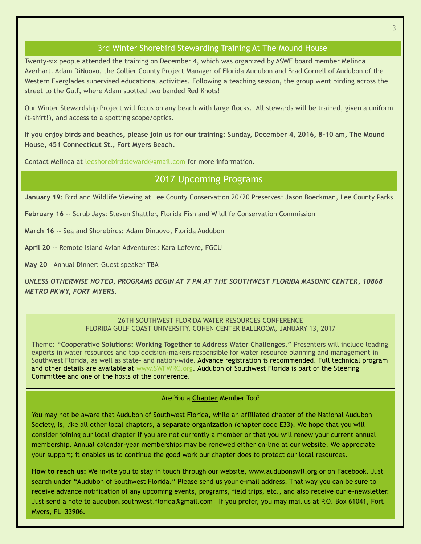# 3rd Winter Shorebird Stewarding Training At The Mound House

Twenty-six people attended the training on December 4, which was organized by ASWF board member Melinda Averhart. Adam DiNuovo, the Collier County Project Manager of Florida Audubon and Brad Cornell of Audubon of the Western Everglades supervised educational activities. Following a teaching session, the group went birding across the street to the Gulf, where Adam spotted two banded Red Knots!

Our Winter Stewardship Project will focus on any beach with large flocks. All stewards will be trained, given a uniform (t-shirt!), and access to a spotting scope/optics.

**If you enjoy birds and beaches, please join us for our training: Sunday, December 4, 2016, 8-10 am, The Mound House, 451 Connecticut St., Fort Myers Beach.** 

Contact Melinda at [leeshorebirdsteward@gmail.com](mailto:leeshorebirdsteward@gmail.com) for more information.

# 2017 Upcoming Programs

**January 19**: Bird and Wildlife Viewing at Lee County Conservation 20/20 Preserves: Jason Boeckman, Lee County Parks

**February 16** -- Scrub Jays: Steven Shattler, Florida Fish and Wildlife Conservation Commission

**March 16 --** Sea and Shorebirds: Adam Dinuovo, Florida Audubon

**April 20** -- Remote Island Avian Adventures: Kara Lefevre, FGCU

**May 20** – Annual Dinner: Guest speaker TBA

*UNLESS OTHERWISE NOTED, PROGRAMS BEGIN AT 7 PM AT THE SOUTHWEST FLORIDA MASONIC CENTER, 10868 METRO PKWY, FORT MYERS.*

> 26TH SOUTHWEST FLORIDA WATER RESOURCES CONFERENCE FLORIDA GULF COAST UNIVERSITY, COHEN CENTER BALLROOM, JANUARY 13, 2017

Theme: **"Cooperative Solutions: Working Together to Address Water Challenges."** Presenters will include leading experts in water resources and top decision-makers responsible for water resource planning and management in Southwest Florida, as well as state- and nation-wide. Advance registration is recommended. Full technical program and other details are available at [www.SWFWRC.org](http://www.swfwrc.org/)**.** Audubon of Southwest Florida is part of the Steering Committee and one of the hosts of the conference.

Are You a **Chapter** Member Too?

You may not be aware that Audubon of Southwest Florida, while an affiliated chapter of the National Audubon Society, is, like all other local chapters, **a separate organization** (chapter code E33). We hope that you will consider joining our local chapter if you are not currently a member or that you will renew your current annual membership. Annual calendar-year memberships may be renewed either on-line at our website. We appreciate your support; it enables us to continue the good work our chapter does to protect our local resources.

**How to reach us:** We invite you to stay in touch through our website, [www.audubonswfl.org](http://www.audubonswfl.org/) or on Facebook. Just search under "Audubon of Southwest Florida." Please send us your e-mail address. That way you can be sure to receive advance notification of any upcoming events, programs, field trips, etc., and also receive our e-newsletter. Just send a note to audubon.southwest.florida@gmail.com If you prefer, you may mail us at P.O. Box 61041, Fort Myers, FL 33906.